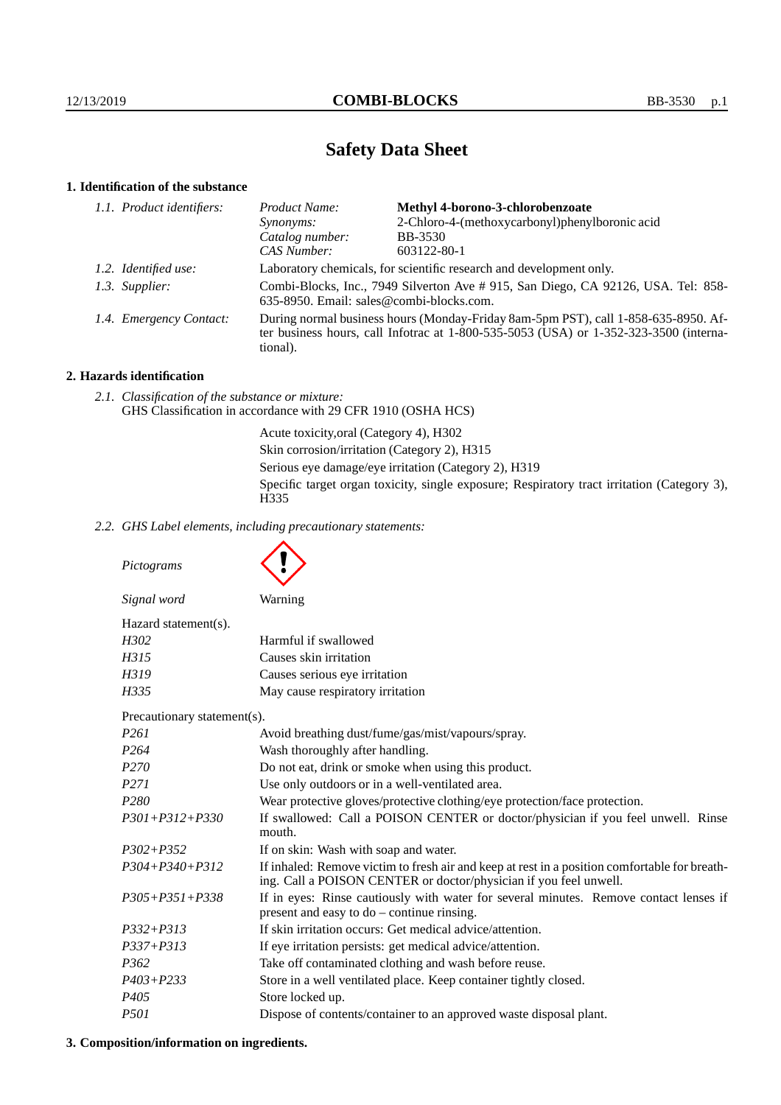# **Safety Data Sheet**

# **1. Identification of the substance**

| Product Name:                                                                                                                                                                               | Methyl 4-borono-3-chlorobenzoate               |
|---------------------------------------------------------------------------------------------------------------------------------------------------------------------------------------------|------------------------------------------------|
| <i>Synonyms:</i>                                                                                                                                                                            | 2-Chloro-4-(methoxycarbonyl)phenylboronic acid |
| Catalog number:                                                                                                                                                                             | <b>BB-3530</b>                                 |
| CAS Number:                                                                                                                                                                                 | 603122-80-1                                    |
| Laboratory chemicals, for scientific research and development only.                                                                                                                         |                                                |
| Combi-Blocks, Inc., 7949 Silverton Ave #915, San Diego, CA 92126, USA. Tel: 858-<br>635-8950. Email: sales@combi-blocks.com.                                                                |                                                |
| During normal business hours (Monday-Friday 8am-5pm PST), call 1-858-635-8950. Af-<br>ter business hours, call Infotrac at $1-800-535-5053$ (USA) or $1-352-323-3500$ (interna-<br>tional). |                                                |
| 1.1. Product identifiers:<br>1.2. Identified use:<br>1.3. Supplier:<br>1.4. Emergency Contact:                                                                                              |                                                |

# **2. Hazards identification**

*2.1. Classification of the substance or mixture:* GHS Classification in accordance with 29 CFR 1910 (OSHA HCS)

> Acute toxicity,oral (Category 4), H302 Skin corrosion/irritation (Category 2), H315 Serious eye damage/eye irritation (Category 2), H319 Specific target organ toxicity, single exposure; Respiratory tract irritation (Category 3), H<sub>335</sub>

*2.2. GHS Label elements, including precautionary statements:*

*Pictograms Signal word* Warning Hazard statement(s). *H302* Harmful if swallowed *H315* Causes skin irritation *H319* Causes serious eye irritation *H335* May cause respiratory irritation Precautionary statement(s). *P261* Avoid breathing dust/fume/gas/mist/vapours/spray. *P264* Wash thoroughly after handling. *P270* Do not eat, drink or smoke when using this product. *P271* Use only outdoors or in a well-ventilated area. *P280* Wear protective gloves/protective clothing/eye protection/face protection. *P301+P312+P330* If swallowed: Call a POISON CENTER or doctor/physician if you feel unwell. Rinse mouth. *P302+P352* If on skin: Wash with soap and water. *P304+P340+P312* If inhaled: Remove victim to fresh air and keep at rest in a position comfortable for breathing. Call a POISON CENTER or doctor/physician if you feel unwell. *P305+P351+P338* If in eyes: Rinse cautiously with water for several minutes. Remove contact lenses if present and easy to do – continue rinsing. *P332+P313* If skin irritation occurs: Get medical advice/attention. *P337+P313* If eye irritation persists: get medical advice/attention. *P362* Take off contaminated clothing and wash before reuse. *P403+P233* Store in a well ventilated place. Keep container tightly closed. *P405* Store locked up. *P501* Dispose of contents/container to an approved waste disposal plant.

# **3. Composition/information on ingredients.**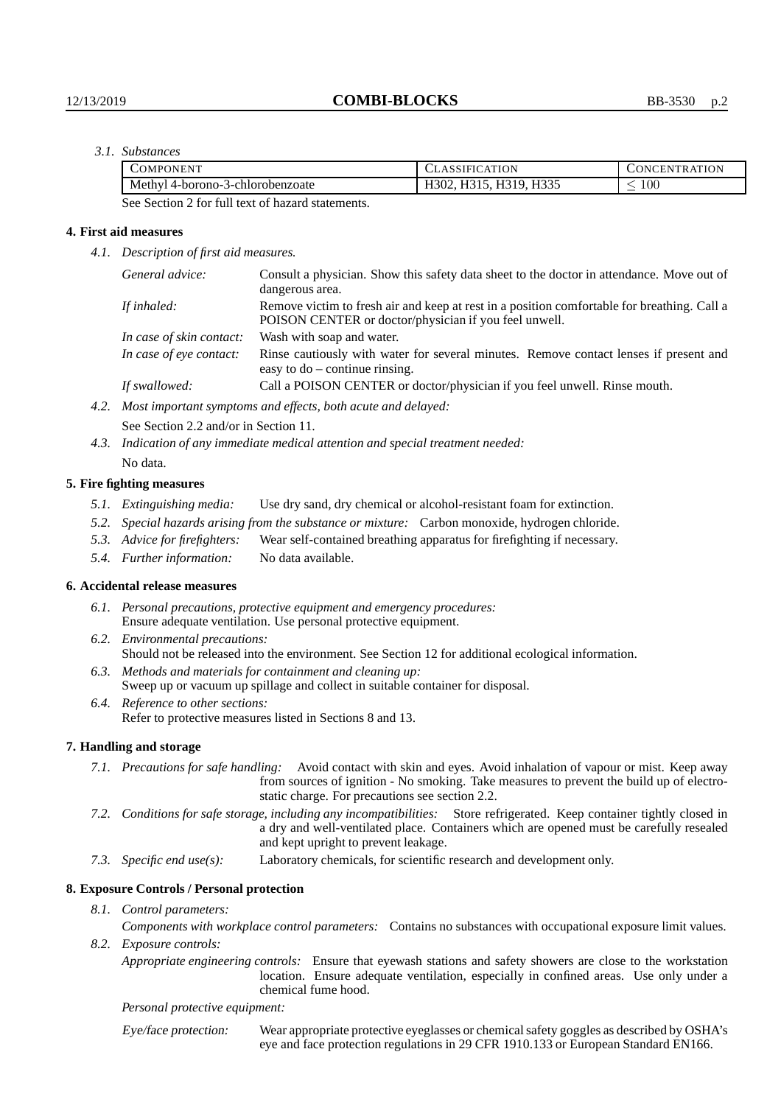# *3.1. Substances*

| OMPONENT                         | <b>CLASSIFICATION</b>     | TRATION<br>JNCEN.     |
|----------------------------------|---------------------------|-----------------------|
| Methyl 4-borono-3-chlorobenzoate | $110^{-1}$<br>н×<br>H302. | 100 <sub>1</sub><br>_ |

See Section 2 for full text of hazard statements.

#### **4. First aid measures**

*4.1. Description of first aid measures.*

| General advice:          | Consult a physician. Show this safety data sheet to the doctor in attendance. Move out of<br>dangerous area.                                         |
|--------------------------|------------------------------------------------------------------------------------------------------------------------------------------------------|
| If inhaled:              | Remove victim to fresh air and keep at rest in a position comfortable for breathing. Call a<br>POISON CENTER or doctor/physician if you feel unwell. |
| In case of skin contact: | Wash with soap and water.                                                                                                                            |
| In case of eye contact:  | Rinse cautiously with water for several minutes. Remove contact lenses if present and<br>easy to $do$ – continue rinsing.                            |
| If swallowed:            | Call a POISON CENTER or doctor/physician if you feel unwell. Rinse mouth.                                                                            |
|                          | $M_{\rm ext}$ in contrast constant on a set of $f$ and $f$ and $f$ and $f$ and $f$ and $f$                                                           |

*4.2. Most important symptoms and effects, both acute and delayed:*

See Section 2.2 and/or in Section 11.

*4.3. Indication of any immediate medical attention and special treatment needed:* No data.

#### **5. Fire fighting measures**

- *5.1. Extinguishing media:* Use dry sand, dry chemical or alcohol-resistant foam for extinction.
- *5.2. Special hazards arising from the substance or mixture:* Carbon monoxide, hydrogen chloride.
- *5.3. Advice for firefighters:* Wear self-contained breathing apparatus for firefighting if necessary.
- *5.4. Further information:* No data available.

#### **6. Accidental release measures**

- *6.1. Personal precautions, protective equipment and emergency procedures:* Ensure adequate ventilation. Use personal protective equipment.
- *6.2. Environmental precautions:* Should not be released into the environment. See Section 12 for additional ecological information.
- *6.3. Methods and materials for containment and cleaning up:* Sweep up or vacuum up spillage and collect in suitable container for disposal.
- *6.4. Reference to other sections:* Refer to protective measures listed in Sections 8 and 13.

#### **7. Handling and storage**

- *7.1. Precautions for safe handling:* Avoid contact with skin and eyes. Avoid inhalation of vapour or mist. Keep away from sources of ignition - No smoking. Take measures to prevent the build up of electrostatic charge. For precautions see section 2.2.
- *7.2. Conditions for safe storage, including any incompatibilities:* Store refrigerated. Keep container tightly closed in a dry and well-ventilated place. Containers which are opened must be carefully resealed and kept upright to prevent leakage.
- *7.3. Specific end use(s):* Laboratory chemicals, for scientific research and development only.

#### **8. Exposure Controls / Personal protection**

*8.1. Control parameters:*

*Components with workplace control parameters:* Contains no substances with occupational exposure limit values. *8.2. Exposure controls:*

*Appropriate engineering controls:* Ensure that eyewash stations and safety showers are close to the workstation location. Ensure adequate ventilation, especially in confined areas. Use only under a chemical fume hood.

*Personal protective equipment:*

Eye/face protection: Wear appropriate protective eyeglasses or chemical safety goggles as described by OSHA's eye and face protection regulations in 29 CFR 1910.133 or European Standard EN166.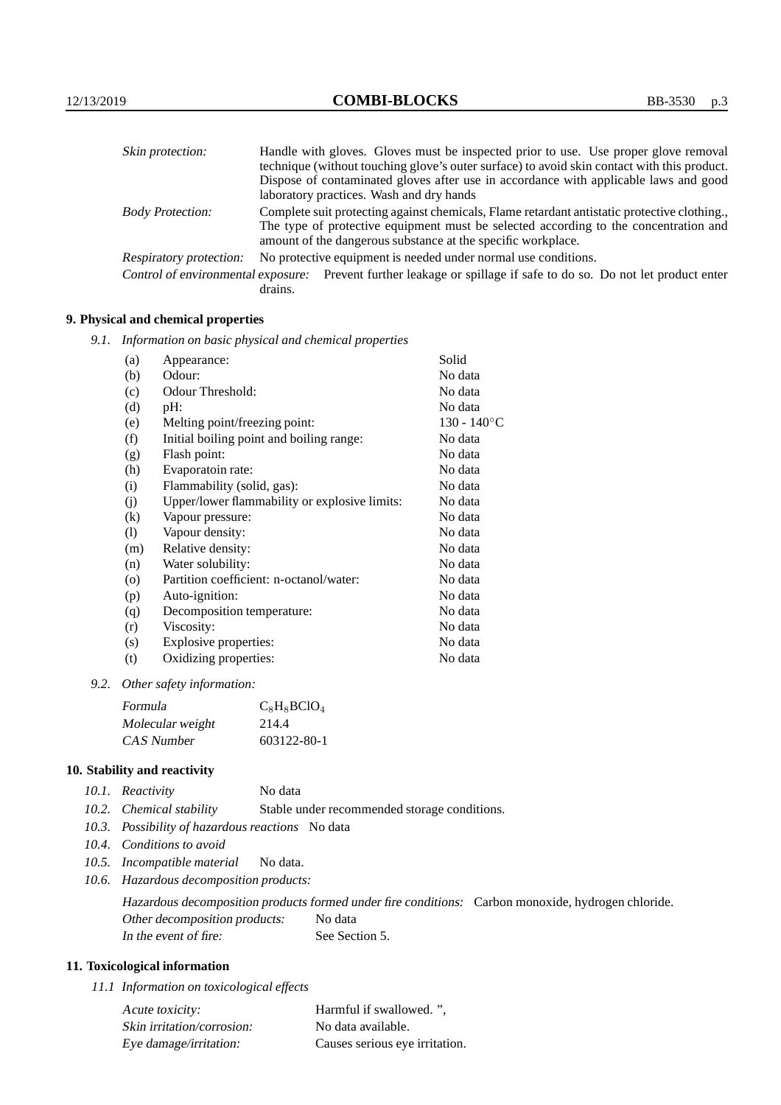| Skin protection:                   | Handle with gloves. Gloves must be inspected prior to use. Use proper glove removal                                                                  |
|------------------------------------|------------------------------------------------------------------------------------------------------------------------------------------------------|
|                                    | technique (without touching glove's outer surface) to avoid skin contact with this product.                                                          |
|                                    | Dispose of contaminated gloves after use in accordance with applicable laws and good                                                                 |
|                                    | laboratory practices. Wash and dry hands                                                                                                             |
| <b>Body Protection:</b>            | Complete suit protecting against chemicals, Flame retardant antistatic protective clothing.                                                          |
|                                    | The type of protective equipment must be selected according to the concentration and<br>amount of the dangerous substance at the specific workplace. |
| <b>Respiratory protection:</b>     | No protective equipment is needed under normal use conditions.                                                                                       |
| Control of environmental exposure: | Prevent further leakage or spillage if safe to do so. Do not let product enter<br>drains.                                                            |

# **9. Physical and chemical properties**

*9.1. Information on basic physical and chemical properties*

| (a)                        | Appearance:                                   | Solid          |
|----------------------------|-----------------------------------------------|----------------|
| (b)                        | Odour:                                        | No data        |
| (c)                        | Odour Threshold:                              | No data        |
| (d)                        | pH:                                           | No data        |
| (e)                        | Melting point/freezing point:                 | $130 - 140$ °C |
| (f)                        | Initial boiling point and boiling range:      | No data        |
| (g)                        | Flash point:                                  | No data        |
| (h)                        | Evaporatoin rate:                             | No data        |
| (i)                        | Flammability (solid, gas):                    | No data        |
| (j)                        | Upper/lower flammability or explosive limits: | No data        |
| $\left( k\right)$          | Vapour pressure:                              | No data        |
| $\left( \mathrm{l}\right)$ | Vapour density:                               | No data        |
| (m)                        | Relative density:                             | No data        |
| (n)                        | Water solubility:                             | No data        |
| $\circ$                    | Partition coefficient: n-octanol/water:       | No data        |
| (p)                        | Auto-ignition:                                | No data        |
| (q)                        | Decomposition temperature:                    | No data        |
| (r)                        | Viscosity:                                    | No data        |
| (s)                        | Explosive properties:                         | No data        |
| (t)                        | Oxidizing properties:                         | No data        |
|                            |                                               |                |

*9.2. Other safety information:*

| Formula          | $C_8$ H <sub>8</sub> BClO <sub>4</sub> |
|------------------|----------------------------------------|
| Molecular weight | 214.4                                  |
| CAS Number       | 603122-80-1                            |

# **10. Stability and reactivity**

|  | 10.1. Reactivity | No data |
|--|------------------|---------|
|--|------------------|---------|

- *10.2. Chemical stability* Stable under recommended storage conditions.
- *10.3. Possibility of hazardous reactions* No data
- *10.4. Conditions to avoid*
- *10.5. Incompatible material* No data.
- *10.6. Hazardous decomposition products:*

Hazardous decomposition products formed under fire conditions: Carbon monoxide, hydrogen chloride. Other decomposition products: No data In the event of fire: See Section 5.

# **11. Toxicological information**

*11.1 Information on toxicological effects*

| Acute toxicity:            | Harmful if swallowed. ".       |
|----------------------------|--------------------------------|
| Skin irritation/corrosion: | No data available.             |
| Eye damage/irritation:     | Causes serious eye irritation. |